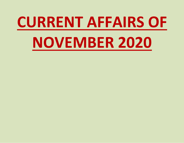# **CURRENT AFFAIRS OF NOVEMBER 2020**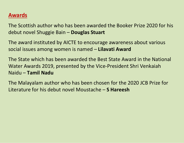# **Awards**

The Scottish author who has been awarded the Booker Prize 2020 for his debut novel Shuggie Bain – **Douglas Stuart**

The award instituted by AICTE to encourage awareness about various social issues among women is named – **Lilavati Award**

The State which has been awarded the Best State Award in the National Water Awards 2019, presented by the Vice-President Shri Venkaiah Naidu – **Tamil Nadu**

The Malayalam author who has been chosen for the 2020 JCB Prize for Literature for his debut novel Moustache – **S Hareesh**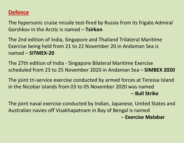# **Defence**

The hypersonic cruise missile test-fired by Russia from its frigate Admiral Gorshkov in the Arctic is named – **Tsirkon**

The 2nd edition of India, Singapore and Thailand Trilateral Maritime Exercise being held from 21 to 22 November 20 in Andaman Sea is named – **SITMEX-20**

The 27th edition of India - Singapore Bilateral Maritime Exercise scheduled from 23 to 25 November 2020 in Andaman Sea – **SIMBEX 2020**

The joint tri-service exercise conducted by armed forces at Teressa Island in the Nicobar islands from 03 to 05 November 2020 was named – **Bull Strike**

The joint naval exercise conducted by Indian, Japanese, United States and Australian navies offVisakhapatnam in Bay of Bengal is named – **Exercise Malabar**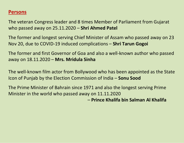# **Persons**

The veteran Congress leader and 8 times Member of Parliament from Gujarat who passed away on 25.11.2020 – **Shri Ahmed Patel**

The former and longest serving Chief Minister of Assam who passed away on 23 Nov 20, due to COVID-19 induced complications – **Shri Tarun Gogoi**

The former and first Governor of Goa and also a well-known author who passed away on 18.11.2020 – **Mrs. Mridula Sinha**

The well-known film actor from Bollywood who has been appointed as the State Icon of Punjab by the Election Commission of India – **Sonu Sood**

The Prime Minister of Bahrain since 1971 and also the longest serving Prime Minister in the world who passed away on 11.11.2020

– **Prince Khalifa bin Salman Al Khalifa**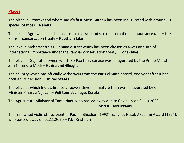#### **Places**

The place in Uttarakhand where India's first Moss Garden has been inaugurated with around 30 species of moss – **Nainital**

The lake in Agra which has been chosen as a wetland site of international importance under the Ramsar conservation treaty – **Keetham lake**

The lake in Maharashtra's Buldhana district which has been chosen as a wetland site of international importance under the Ramsar conservation treaty – **Lonar lake**

The place in Gujarat between which Ro-Pax ferry service was inaugurated by the Prime Minister Shri Narendra Modi – **Hazira and Ghogha**

The country which has officially withdrawn from the Paris climate accord, one year after it had notified its decision – **United States**

The place at which India's first solar power driven miniature train was inaugurated by Chief Minister Pinarayi Vijayan – **Veli tourist village**, **Kerala**

The Agriculture Minister of Tamil Nadu who passed away due to Covid-19 on 31.10.2020 – **Shri R. Doraikkannu**

The renowned violinist, recipient of Padma Bhushan (1992), Sangeet Natak Akademi Award (1974), who passed away on 02.11.2020 – **T.N. Krishnan**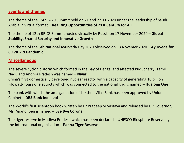#### **Events and themes**

The theme of the 15th G-20 Summit held on 21 and 22.11.2020 under the leadership of Saudi Arabia in virtual format – **Realizing Opportunities of 21st Century for All**

The theme of 12th BRICS Summit hosted virtually by Russia on 17 November 2020 – **Global Stability, Shared Security and Innovative Growth**

The theme of the 5th National Ayurveda Day 2020 observed on 13 Novemer 2020 – **Ayurveda for COVID-19 Pandemic**

#### **Miscellaneous**

The severe cyclonic storm which formed in the Bay of Bengal and affected Puducherry, Tamil Nadu and Andhra Pradesh was named – **Nivar** China's first domestically developed nuclear reactor with a capacity of generating 10 billion kilowatt-hours of electricty which was connected to the national grid is named – **Hualong One**

The bank with which the amalgamation of Lakshmi Vilas Bank has been approved by Union Cabinet – **DBS Bank India Ltd**

The World's first scientoon book written by Dr Pradeep Srivastava and released by UP Governor, Ms. Anandi Ben is named – **Bye Bye Corona**

The tiger reserve in Madhya Pradesh which has been declared a UNESCO Biosphere Reserve by the international organisation – **Panna Tiger Reserve**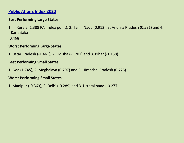## **Public Affairs Index 2020**

#### **Best Performing Large States**

1. Kerala (1.388 PAI Index point), 2. Tamil Nadu (0.912), 3. Andhra Pradesh (0.531) and 4. Karnataka

(0.468)

#### **Worst Performing Large States**

1. Uttar Pradesh (-1.461), 2. Odisha (-1.201) and 3. Bihar (-1.158)

#### **Best Performing Small States**

1. Goa (1.745), 2. Meghalaya (0.797) and 3. Himachal Pradesh (0.725).

#### **Worst Performing Small States**

1. Manipur (-0.363), 2. Delhi (-0.289) and 3. Uttarakhand (-0.277)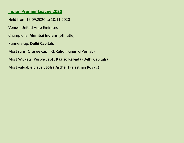#### **Indian Premier League 2020**

Held from 19.09.2020 to 10.11.2020

Venue: United Arab Emirates

Champions: **Mumbai Indians** (5th title)

Runners-up: **Delhi Capitals**

Most runs (Orange cap): **KL Rahul** (Kings XI Punjab)

Most Wickets (Purple cap) : **Kagiso Rabada** (Delhi Capitals)

Most valuable player: **Jofra Archer** (Rajasthan Royals)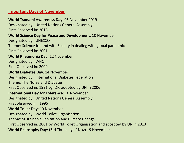#### **Important Days of November**

**World Tsunami Awareness Day**: 05 November 2019 Designated by : United Nations General Assembly First Observed in: 2016 **World Science Day for Peace and Development**: 10 November Designated by : UNESCO Theme: Science for and with Society in dealing with global pandemic First Observed in: 2001 **World Pneumonia Day**: 12 November Designated by : WHO First Observed in: 2009 **World Diabetes Day**: 14 November Designated by : International Diabetes Federation Theme: The Nurse and Diabetes

First Observed in: 1991 by IDF, adopted by UN in 2006

#### **International Day for Tolerance**: 16 November

Designated by : United Nations General Assembly First observed in : 1995

#### **World Toilet Day**: 19 November

Designated by : World Toilet Organisation

Theme: Sustainable Sanitation and Climate Change

First Observed in: 2001 by World Toilet Organisation and accepted by UN in 2013

**World Philosophy Day**: (3rd Thursday of Nov) 19 November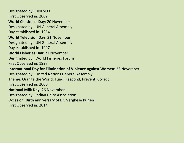Designated by : UNESCO First Observed in: 2002 **World Childrens' Day**: 20 November Designated by : UN General Assembly Day established in: 1954 **World Television Day**: 21 November Designated by : UN General Assembly Day established in: 1997 **World Fisheries Day**: 21 November Designated by : World Fisheries Forum First Observed in: 1997 **International Day for Elimination of Violence against Women**: 25 November Designated by : United Nations General Assembly Theme: Orange the World: Fund, Respond, Prevent, Collect First Observed in: 2000 **National Milk Day**: 26 November Designated by : Indian Dairy Association Occasion: Birth anniversary of Dr. Verghese Kurien First Observed in: 2014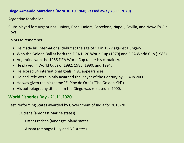#### **Diego Armando Maradona (Born 30.10.1960; Passed away 25.11.2020)**

#### Argentine footballer

Clubs played for: Argentinos Juniors, Boca Juniors, Barcelona, Napoli, Sevilla, and Newell's Old Boys

#### Points to remember

- He made his international debut at the age of 17 in 1977 against Hungary.
- Won the Golden Ball at both the FIFA U-20 World Cup (1979) and FIFA World Cup (1986)
- Argentina won the 1986 FIFA World Cup under his captaincy.
- He played in World Cups of 1982, 1986, 1990, and 1994.
- He scored 34 international goals in 91 appearances.
- He and Pele were jointly awarded the Player of the Century by FIFA in 2000.
- He was given the nickname "El Pibe de Oro" ("The Golden Kid").
- His autobiography titled I am the Diego was released in 2000.

#### **World Fisheries Day - 21.11.2020**

Best Performing States awarded by Government of India for 2019-20

- 1. Odisha (amongst Marine states)
- 1. Uttar Pradesh (amongst Inland states)
- 1. Assam (amongst Hilly and NE states)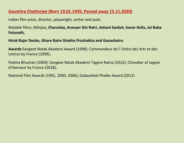#### **Soumitra Chatterjee (Born 19.01.1935; Passed away 15.11.2020)**

Indian film actor, director, playwright, writer and poet.

Notable films: Abhijan**, Charulata, Aranyer Din Ratri, AshaniSanket, Sonar Kella, Joi Baba Felunath,**

#### **Hirak RajarDeshe, Ghare Baire Shakha Proshakha and Ganashatru**

Awards:Sangeet Natak Akademi Award (1998); Commandeur de l'Ordre des Arts et des Lettres by France (1999);

Padma Bhushan (2004); Sangeet Natak Akademi Tagore Ratna (2012); Chevalier of Legion d'Honneur by France (2018);

National Film Awards (1991, 2000, 2006); Dadasaheb Phalke Award (2012)